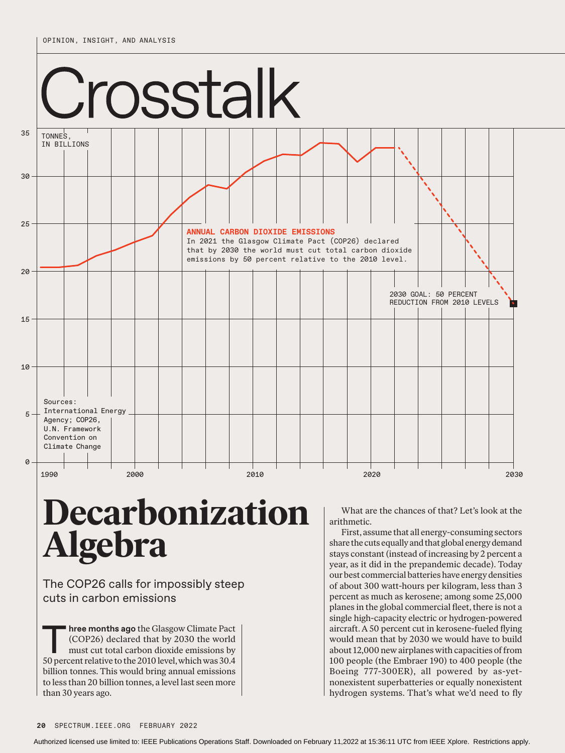

## **Decarbonization Algebra**

The COP26 calls for impossibly steep cuts in carbon emissions

**Three months ago** the Glasgow Climate Pact (COP26) declared that by 2030 the world must cut total carbon dioxide emissions by 50 percent relative to the 2010 level, which was 30.4 billion tonnes. This would bring annual emissions to less than 20 billion tonnes, a level last seen more than 30 years ago.

What are the chances of that? Let's look at the arithmetic.

First, assume that all energy-consuming sectors share the cuts equally and that global energy demand stays constant (instead of increasing by 2 percent a year, as it did in the prepandemic decade). Today our best commercial batteries have energy densities of about 300 watt-hours per kilogram, less than 3 percent as much as kerosene; among some 25,000 planes in the global commercial fleet, there is not a single high-capacity electric or hydrogen-powered aircraft. A 50 percent cut in kerosene-fueled flying would mean that by 2030 we would have to build about 12,000 new airplanes with capacities of from 100 people (the Embraer 190) to 400 people (the Boeing 777-300ER), all powered by as-yetnonexistent superbatteries or equally nonexistent hydrogen systems. That's what we'd need to fly